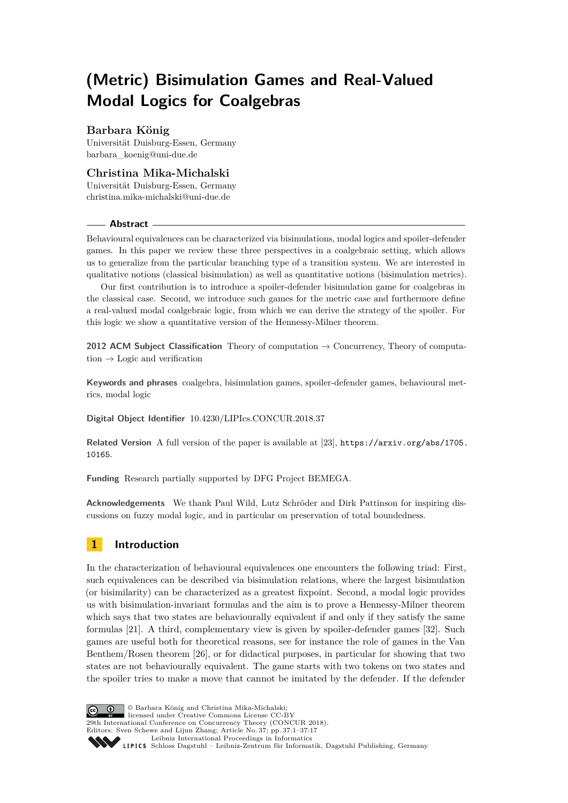# **(Metric) Bisimulation Games and Real-Valued Modal Logics for Coalgebras**

# **Barbara König**

Universität Duisburg-Essen, Germany [barbara\\_koenig@uni-due.de](mailto:barbara_koenig@uni-due.de)

# **Christina Mika-Michalski**

Universität Duisburg-Essen, Germany [christina.mika-michalski@uni-due.de](mailto:christina.mika-michalski@uni-due.de)

## **Abstract**

Behavioural equivalences can be characterized via bisimulations, modal logics and spoiler-defender games. In this paper we review these three perspectives in a coalgebraic setting, which allows us to generalize from the particular branching type of a transition system. We are interested in qualitative notions (classical bisimulation) as well as quantitative notions (bisimulation metrics).

Our first contribution is to introduce a spoiler-defender bisimulation game for coalgebras in the classical case. Second, we introduce such games for the metric case and furthermore define a real-valued modal coalgebraic logic, from which we can derive the strategy of the spoiler. For this logic we show a quantitative version of the Hennessy-Milner theorem.

**2012 ACM Subject Classification** Theory of computation → Concurrency, Theory of computation  $\rightarrow$  Logic and verification

**Keywords and phrases** coalgebra, bisimulation games, spoiler-defender games, behavioural metrics, modal logic

**Digital Object Identifier** [10.4230/LIPIcs.CONCUR.2018.37](http://dx.doi.org/10.4230/LIPIcs.CONCUR.2018.37)

**Related Version** A full version of the paper is available at [\[23\]](#page-16-0), [https://arxiv.org/abs/1705.](https://arxiv.org/abs/1705.10165) [10165](https://arxiv.org/abs/1705.10165).

**Funding** Research partially supported by DFG Project BEMEGA.

**Acknowledgements** We thank Paul Wild, Lutz Schröder and Dirk Pattinson for inspiring discussions on fuzzy modal logic, and in particular on preservation of total boundedness.

# **1 Introduction**

In the characterization of behavioural equivalences one encounters the following triad: First, such equivalences can be described via bisimulation relations, where the largest bisimulation (or bisimilarity) can be characterized as a greatest fixpoint. Second, a modal logic provides us with bisimulation-invariant formulas and the aim is to prove a Hennessy-Milner theorem which says that two states are behaviourally equivalent if and only if they satisfy the same formulas [\[21\]](#page-15-0). A third, complementary view is given by spoiler-defender games [\[32\]](#page-16-1). Such games are useful both for theoretical reasons, see for instance the role of games in the Van Benthem/Rosen theorem [\[26\]](#page-16-2), or for didactical purposes, in particular for showing that two states are not behaviourally equivalent. The game starts with two tokens on two states and the spoiler tries to make a move that cannot be imitated by the defender. If the defender

© Barbara König and Christina Mika-Michalski;  $\boxed{6}$  0 **29th International Conference on Concurrency Theory (CONCUR 2018).** Editors: Sven Schewe and Lijun Zhang; Article No. 37; pp. 37:1–37[:17](#page-16-3) [Leibniz International Proceedings in Informatics](http://www.dagstuhl.de/lipics/) [Schloss Dagstuhl – Leibniz-Zentrum für Informatik, Dagstuhl Publishing, Germany](http://www.dagstuhl.de)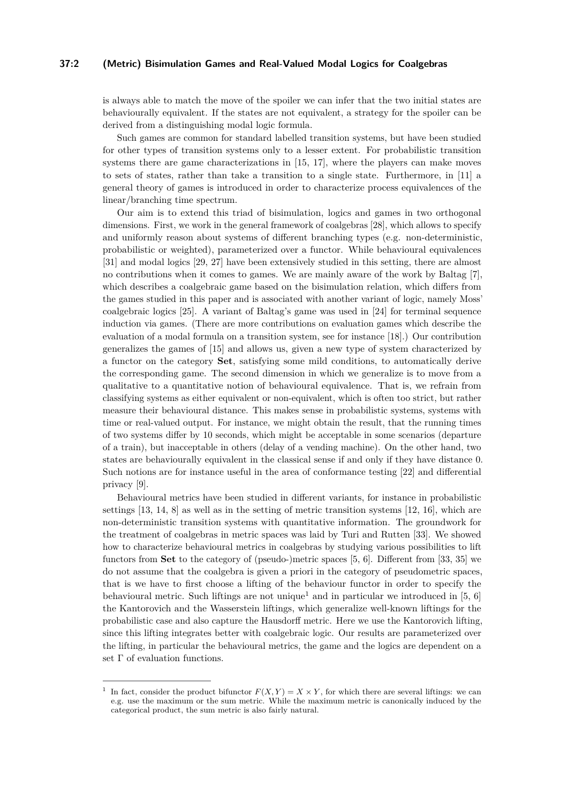## **37:2 (Metric) Bisimulation Games and Real-Valued Modal Logics for Coalgebras**

is always able to match the move of the spoiler we can infer that the two initial states are behaviourally equivalent. If the states are not equivalent, a strategy for the spoiler can be derived from a distinguishing modal logic formula.

Such games are common for standard labelled transition systems, but have been studied for other types of transition systems only to a lesser extent. For probabilistic transition systems there are game characterizations in [\[15,](#page-15-1) [17\]](#page-15-2), where the players can make moves to sets of states, rather than take a transition to a single state. Furthermore, in [\[11\]](#page-15-3) a general theory of games is introduced in order to characterize process equivalences of the linear/branching time spectrum.

Our aim is to extend this triad of bisimulation, logics and games in two orthogonal dimensions. First, we work in the general framework of coalgebras [\[28\]](#page-16-4), which allows to specify and uniformly reason about systems of different branching types (e.g. non-deterministic, probabilistic or weighted), parameterized over a functor. While behavioural equivalences [\[31\]](#page-16-5) and modal logics [\[29,](#page-16-6) [27\]](#page-16-7) have been extensively studied in this setting, there are almost no contributions when it comes to games. We are mainly aware of the work by Baltag [\[7\]](#page-15-4), which describes a coalgebraic game based on the bisimulation relation, which differs from the games studied in this paper and is associated with another variant of logic, namely Moss' coalgebraic logics [\[25\]](#page-16-8). A variant of Baltag's game was used in [\[24\]](#page-16-9) for terminal sequence induction via games. (There are more contributions on evaluation games which describe the evaluation of a modal formula on a transition system, see for instance [\[18\]](#page-15-5).) Our contribution generalizes the games of [\[15\]](#page-15-1) and allows us, given a new type of system characterized by a functor on the category **Set**, satisfying some mild conditions, to automatically derive the corresponding game. The second dimension in which we generalize is to move from a qualitative to a quantitative notion of behavioural equivalence. That is, we refrain from classifying systems as either equivalent or non-equivalent, which is often too strict, but rather measure their behavioural distance. This makes sense in probabilistic systems, systems with time or real-valued output. For instance, we might obtain the result, that the running times of two systems differ by 10 seconds, which might be acceptable in some scenarios (departure of a train), but inacceptable in others (delay of a vending machine). On the other hand, two states are behaviourally equivalent in the classical sense if and only if they have distance 0. Such notions are for instance useful in the area of conformance testing [\[22\]](#page-16-10) and differential privacy [\[9\]](#page-15-6).

Behavioural metrics have been studied in different variants, for instance in probabilistic settings [\[13,](#page-15-7) [14,](#page-15-8) [8\]](#page-15-9) as well as in the setting of metric transition systems [\[12,](#page-15-10) [16\]](#page-15-11), which are non-deterministic transition systems with quantitative information. The groundwork for the treatment of coalgebras in metric spaces was laid by Turi and Rutten [\[33\]](#page-16-11). We showed how to characterize behavioural metrics in coalgebras by studying various possibilities to lift functors from **Set** to the category of (pseudo-)metric spaces [\[5,](#page-15-12) [6\]](#page-15-13). Different from [\[33,](#page-16-11) [35\]](#page-16-12) we do not assume that the coalgebra is given a priori in the category of pseudometric spaces, that is we have to first choose a lifting of the behaviour functor in order to specify the behavioural metric. Such liftings are not unique<sup>[1](#page-1-0)</sup> and in particular we introduced in [\[5,](#page-15-12) [6\]](#page-15-13) the Kantorovich and the Wasserstein liftings, which generalize well-known liftings for the probabilistic case and also capture the Hausdorff metric. Here we use the Kantorovich lifting, since this lifting integrates better with coalgebraic logic. Our results are parameterized over the lifting, in particular the behavioural metrics, the game and the logics are dependent on a set Γ of evaluation functions.

<span id="page-1-0"></span><sup>&</sup>lt;sup>1</sup> In fact, consider the product bifunctor  $F(X, Y) = X \times Y$ , for which there are several liftings: we can e.g. use the maximum or the sum metric. While the maximum metric is canonically induced by the categorical product, the sum metric is also fairly natural.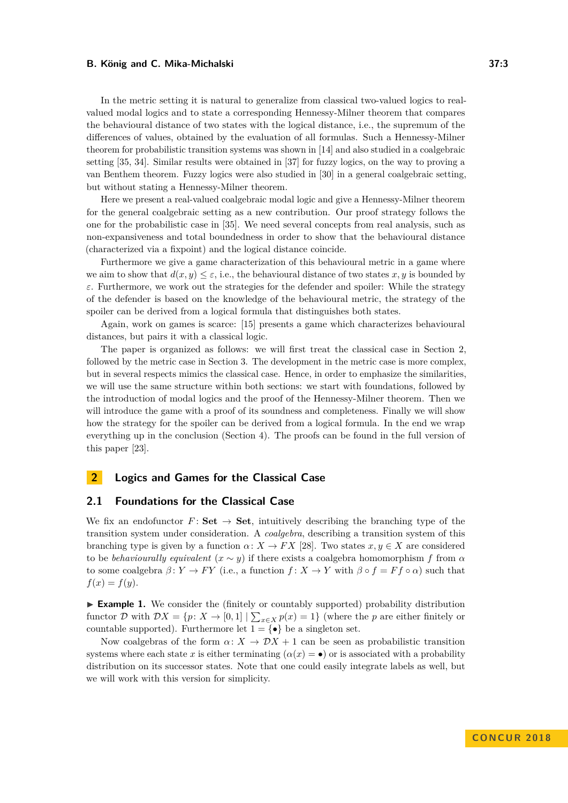In the metric setting it is natural to generalize from classical two-valued logics to realvalued modal logics and to state a corresponding Hennessy-Milner theorem that compares the behavioural distance of two states with the logical distance, i.e., the supremum of the differences of values, obtained by the evaluation of all formulas. Such a Hennessy-Milner theorem for probabilistic transition systems was shown in [\[14\]](#page-15-8) and also studied in a coalgebraic setting [\[35,](#page-16-12) [34\]](#page-16-13). Similar results were obtained in [\[37\]](#page-16-14) for fuzzy logics, on the way to proving a van Benthem theorem. Fuzzy logics were also studied in [\[30\]](#page-16-15) in a general coalgebraic setting, but without stating a Hennessy-Milner theorem.

Here we present a real-valued coalgebraic modal logic and give a Hennessy-Milner theorem for the general coalgebraic setting as a new contribution. Our proof strategy follows the one for the probabilistic case in [\[35\]](#page-16-12). We need several concepts from real analysis, such as non-expansiveness and total boundedness in order to show that the behavioural distance (characterized via a fixpoint) and the logical distance coincide.

Furthermore we give a game characterization of this behavioural metric in a game where we aim to show that  $d(x, y) \leq \varepsilon$ , i.e., the behavioural distance of two states x, y is bounded by *ε*. Furthermore, we work out the strategies for the defender and spoiler: While the strategy of the defender is based on the knowledge of the behavioural metric, the strategy of the spoiler can be derived from a logical formula that distinguishes both states.

Again, work on games is scarce: [\[15\]](#page-15-1) presents a game which characterizes behavioural distances, but pairs it with a classical logic.

The paper is organized as follows: we will first treat the classical case in Section [2,](#page-2-0) followed by the metric case in Section [3.](#page-6-0) The development in the metric case is more complex, but in several respects mimics the classical case. Hence, in order to emphasize the similarities, we will use the same structure within both sections: we start with foundations, followed by the introduction of modal logics and the proof of the Hennessy-Milner theorem. Then we will introduce the game with a proof of its soundness and completeness. Finally we will show how the strategy for the spoiler can be derived from a logical formula. In the end we wrap everything up in the conclusion (Section [4\)](#page-14-0). The proofs can be found in the full version of this paper [\[23\]](#page-16-0).

# <span id="page-2-0"></span>**2 Logics and Games for the Classical Case**

## **2.1 Foundations for the Classical Case**

We fix an endofunctor  $F:$  **Set**  $\rightarrow$  **Set**, intuitively describing the branching type of the transition system under consideration. A *coalgebra*, describing a transition system of this branching type is given by a function  $\alpha: X \to FX$  [\[28\]](#page-16-4). Two states  $x, y \in X$  are considered to be *behaviourally equivalent*  $(x \sim y)$  if there exists a coalgebra homomorphism *f* from  $\alpha$ to some coalgebra  $\beta: Y \to FY$  (i.e., a function  $f: X \to Y$  with  $\beta \circ f = F f \circ \alpha$ ) such that  $f(x) = f(y).$ 

<span id="page-2-1"></span>**Example 1.** We consider the (finitely or countably supported) probability distribution functor D with  $DX = \{p: X \to [0,1] \mid \sum_{x \in X} p(x) = 1\}$  (where the p are either finitely or countable supported). Furthermore let  $1 = \{ \bullet \}$  be a singleton set.

Now coalgebras of the form  $\alpha: X \to \mathcal{D}X + 1$  can be seen as probabilistic transition systems where each state *x* is either terminating  $(\alpha(x) = \bullet)$  or is associated with a probability distribution on its successor states. Note that one could easily integrate labels as well, but we will work with this version for simplicity.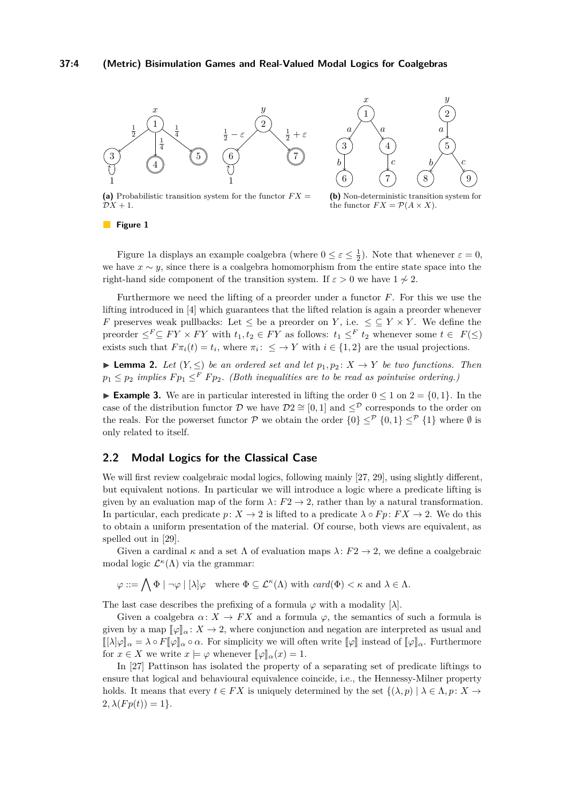<span id="page-3-0"></span>

(a) Probabilistic transition system for the functor  $FX =$  $\mathcal{D}X + 1$ .

**(b)** Non-deterministic transition system for the functor  $FX = \mathcal{P}(A \times X)$ .

#### **Figure 1**

Figure [1a](#page-3-0) displays an example coalgebra (where  $0 \le \varepsilon \le \frac{1}{2}$ ). Note that whenever  $\varepsilon = 0$ , we have  $x \sim y$ , since there is a coalgebra homomorphism from the entire state space into the right-hand side component of the transition system. If  $\varepsilon > 0$  we have  $1 \nsim 2$ .

Furthermore we need the lifting of a preorder under a functor *F*. For this we use the lifting introduced in [\[4\]](#page-15-14) which guarantees that the lifted relation is again a preorder whenever *F* preserves weak pullbacks: Let  $\leq$  be a preorder on *Y*, i.e.  $\leq \subseteq Y \times Y$ . We define the preorder  $\leq^F \subseteq FY \times FY$  with  $t_1, t_2 \in FY$  as follows:  $t_1 \leq^F t_2$  whenever some  $t \in F(\leq)$ exists such that  $F\pi_i(t) = t_i$ , where  $\pi_i: \leq Y$  with  $i \in \{1,2\}$  are the usual projections.

▶ **Lemma 2.** *Let*  $(Y, \leq)$  *be an ordered set and let*  $p_1, p_2: X \rightarrow Y$  *be two functions. Then*  $p_1 \leq p_2$  *implies*  $F p_1 \leq^F F p_2$ *. (Both inequalities are to be read as pointwise ordering.)* 

<span id="page-3-1"></span>**Example 3.** We are in particular interested in lifting the order  $0 \le 1$  on  $2 = \{0, 1\}$ . In the case of the distribution functor D we have  $\mathcal{D}2 \cong [0,1]$  and  $\leq^{\mathcal{D}}$  corresponds to the order on the reals. For the powerset functor P we obtain the order  $\{0\} \leq^{\mathcal{P}} \{0,1\} \leq^{\mathcal{P}} \{1\}$  where Ø is only related to itself.

# <span id="page-3-2"></span>**2.2 Modal Logics for the Classical Case**

We will first review coalgebraic modal logics, following mainly [\[27,](#page-16-7) [29\]](#page-16-6), using slightly different, but equivalent notions. In particular we will introduce a logic where a predicate lifting is given by an evaluation map of the form  $\lambda: F2 \to 2$ , rather than by a natural transformation. In particular, each predicate  $p: X \to 2$  is lifted to a predicate  $\lambda \circ Fp: FX \to 2$ . We do this to obtain a uniform presentation of the material. Of course, both views are equivalent, as spelled out in [\[29\]](#page-16-6).

Given a cardinal  $\kappa$  and a set  $\Lambda$  of evaluation maps  $\lambda: F2 \to 2$ , we define a coalgebraic modal logic  $\mathcal{L}^{\kappa}(\Lambda)$  via the grammar:

 $\varphi ::= \bigwedge \Phi \mid \neg \varphi \mid [\lambda] \varphi$  where  $\Phi \subseteq \mathcal{L}^{\kappa}(\Lambda)$  with  $card(\Phi) < \kappa$  and  $\lambda \in \Lambda$ .

The last case describes the prefixing of a formula  $\varphi$  with a modality  $[\lambda]$ .

Given a coalgebra  $\alpha: X \to FX$  and a formula  $\varphi$ , the semantics of such a formula is given by a map  $[\varphi]_{\alpha} : X \to 2$ , where conjunction and negation are interpreted as usual and  $[[\lambda]\varphi]_{\alpha} = \lambda \circ F[\varphi]_{\alpha} \circ \alpha$ . For simplicity we will often write  $[\varphi]$  instead of  $[\varphi]_{\alpha}$ . Furthermore for  $x \in X$  we write  $x \models \varphi$  whenever  $\llbracket \varphi \rrbracket_{\alpha}(x) = 1$ .

In [\[27\]](#page-16-7) Pattinson has isolated the property of a separating set of predicate liftings to ensure that logical and behavioural equivalence coincide, i.e., the Hennessy-Milner property holds. It means that every  $t \in FX$  is uniquely determined by the set  $\{(\lambda, p) | \lambda \in \Lambda, p: X \to \Lambda\}$  $2, \lambda(Fp(t)) = 1$ .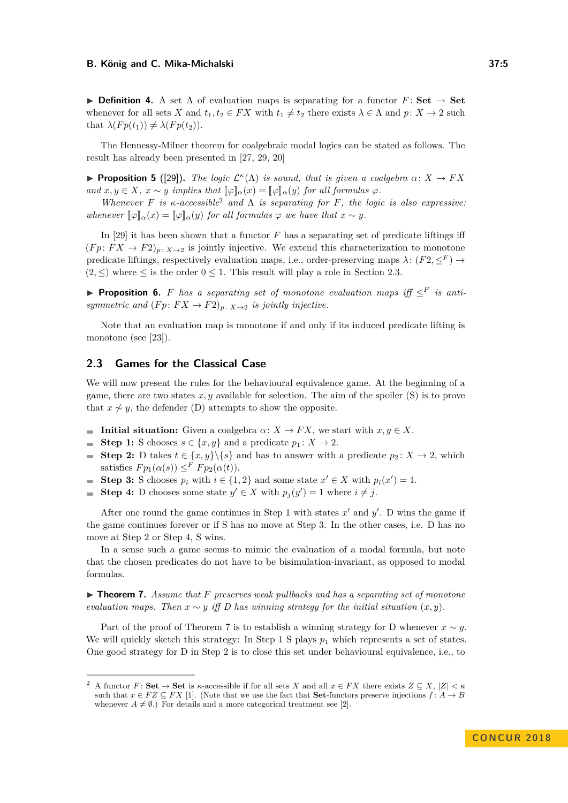**Definition 4.** A set  $\Lambda$  of evaluation maps is separating for a functor  $F:$  **Set**  $\to$  **Set** whenever for all sets *X* and  $t_1, t_2 \in FX$  with  $t_1 \neq t_2$  there exists  $\lambda \in \Lambda$  and  $p: X \to 2$  such that  $\lambda(Fp(t_1)) \neq \lambda(Fp(t_2)).$ 

The Hennessy-Milner theorem for coalgebraic modal logics can be stated as follows. The result has already been presented in [\[27,](#page-16-7) [29,](#page-16-6) [20\]](#page-15-15)

**Proposition 5** ([\[29\]](#page-16-6)). *The logic*  $\mathcal{L}^{\kappa}(\Lambda)$  *is sound, that is given a coalgebra*  $\alpha \colon X \to FX$ *and*  $x, y \in X$ ,  $x \sim y$  *implies that*  $[\![\varphi]\!]_{\alpha}(x) = [\![\varphi]\!]_{\alpha}(y)$  *for all formulas*  $\varphi$ *.* 

*Whenever*  $F$  *is*  $\kappa$ -accessible<sup>[2](#page-4-0)</sup> and  $\Lambda$  *is separating for*  $F$ *, the logic is also expressive: whenever*  $[\![\varphi]\!]_{\alpha}(x) = [\![\varphi]\!]_{\alpha}(y)$  *for all formulas*  $\varphi$  *we have that*  $x \sim y$ *.* 

In [\[29\]](#page-16-6) it has been shown that a functor *F* has a separating set of predicate liftings iff  $(Fp: FX \to F2)_p: X \to 2$  is jointly injective. We extend this characterization to monotone predicate liftings, respectively evaluation maps, i.e., order-preserving maps  $\lambda: (F2, \leq^F) \to$  $(2, <)$  where  $<$  is the order  $0 < 1$ . This result will play a role in Section [2.3.](#page-4-1)

<span id="page-4-3"></span>**Proposition 6.** *F* has a separating set of monotone evaluation maps iff  $\leq^F$  is anti*symmetric and*  $(Fp: FX \to F2)_p: x \to 2$  *is jointly injective.* 

Note that an evaluation map is monotone if and only if its induced predicate lifting is monotone (see [\[23\]](#page-16-0)).

## <span id="page-4-1"></span>**2.3 Games for the Classical Case**

We will now present the rules for the behavioural equivalence game. At the beginning of a game, there are two states  $x, y$  available for selection. The aim of the spoiler  $(S)$  is to prove that  $x \nsim y$ , the defender (D) attempts to show the opposite.

- **Initial situation:** Given a coalgebra  $\alpha: X \to FX$ , we start with  $x, y \in X$ .
- **Step 1:** S chooses  $s \in \{x, y\}$  and a predicate  $p_1 : X \to 2$ .  $\overline{\phantom{a}}$
- **Step 2:** D takes  $t \in \{x, y\} \backslash \{s\}$  and has to answer with a predicate  $p_2 \colon X \to 2$ , which  $\overline{a}$ satisfies  $F p_1(\alpha(s)) \leq F F p_2(\alpha(t)).$
- **Step 3:** S chooses  $p_i$  with  $i \in \{1, 2\}$  and some state  $x' \in X$  with  $p_i(x') = 1$ . m.
- **Step 4:** D chooses some state  $y' \in X$  with  $p_j(y') = 1$  where  $i \neq j$ .  $\sim$

After one round the game continues in Step 1 with states  $x'$  and  $y'$ . D wins the game if the game continues forever or if S has no move at Step 3. In the other cases, i.e. D has no move at Step 2 or Step 4, S wins.

In a sense such a game seems to mimic the evaluation of a modal formula, but note that the chosen predicates do not have to be bisimulation-invariant, as opposed to modal formulas.

<span id="page-4-2"></span>▶ **Theorem 7.** Assume that *F* preserves weak pullbacks and has a separating set of monotone *evaluation maps. Then*  $x \sim y$  *iff* D has winning strategy for the initial situation  $(x, y)$ .

Part of the proof of Theorem [7](#page-4-2) is to establish a winning strategy for D whenever  $x \sim y$ . We will quickly sketch this strategy: In Step 1 S plays  $p_1$  which represents a set of states. One good strategy for D in Step 2 is to close this set under behavioural equivalence, i.e., to

<span id="page-4-0"></span>A functor  $F:$  **Set**  $\rightarrow$  **Set** is *κ*-accessible if for all sets *X* and all  $x \in FX$  there exists  $Z \subseteq X$ ,  $|Z| < \kappa$ such that  $x \in FZ \subseteq FX$  [\[1\]](#page-15-16). (Note that we use the fact that **Set**-functors preserve injections  $f: A \rightarrow B$ whenever  $A \neq \emptyset$ .) For details and a more categorical treatment see [\[2\]](#page-15-17).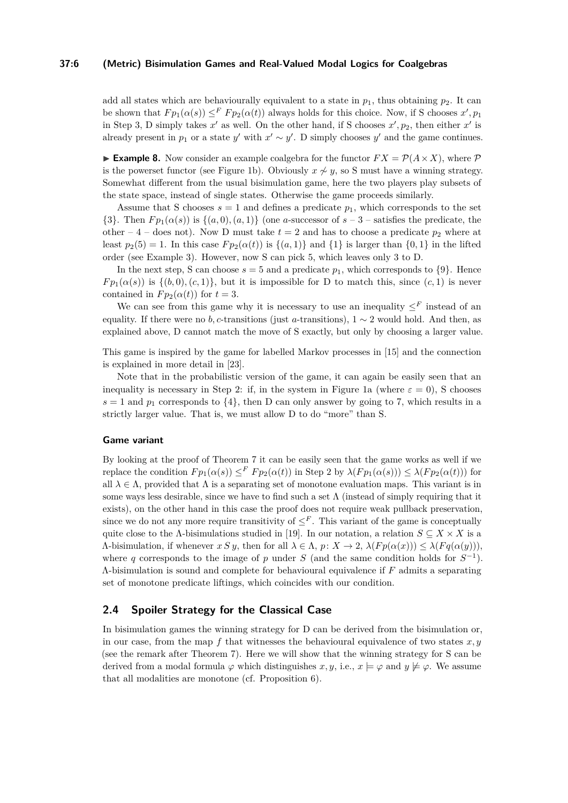## **37:6 (Metric) Bisimulation Games and Real-Valued Modal Logics for Coalgebras**

add all states which are behaviourally equivalent to a state in  $p_1$ , thus obtaining  $p_2$ . It can be shown that  $F p_1(\alpha(s)) \leq^F F p_2(\alpha(t))$  always holds for this choice. Now, if S chooses  $x', p_1$ in Step 3, D simply takes  $x'$  as well. On the other hand, if S chooses  $x', p_2$ , then either  $x'$  is already present in  $p_1$  or a state  $y'$  with  $x' \sim y'$ . D simply chooses  $y'$  and the game continues.

**Example 8.** Now consider an example coalgebra for the functor  $FX = \mathcal{P}(A \times X)$ , where  $\mathcal{P}$ is the powerset functor (see Figure [1b\)](#page-3-0). Obviously  $x \nsim y$ , so S must have a winning strategy. Somewhat different from the usual bisimulation game, here the two players play subsets of the state space, instead of single states. Otherwise the game proceeds similarly.

Assume that S chooses  $s = 1$  and defines a predicate  $p_1$ , which corresponds to the set  $\{3\}$ . Then  $Fp_1(\alpha(s))$  is  $\{(a,0), (a,1)\}$  (one *a*-successor of  $s-3$  – satisfies the predicate, the other – 4 – does not). Now D must take  $t = 2$  and has to choose a predicate  $p_2$  where at least  $p_2(5) = 1$ . In this case  $F p_2(\alpha(t))$  is  $\{(a, 1)\}\$  and  $\{1\}$  is larger than  $\{0, 1\}$  in the lifted order (see Example [3\)](#page-3-1). However, now S can pick 5, which leaves only 3 to D.

In the next step, S can choose  $s = 5$  and a predicate  $p_1$ , which corresponds to  $\{9\}$ . Hence *Fp*<sub>1</sub>( $\alpha$ (*s*)) is {(*b,* 0)*,*( $c$ , 1)}, but it is impossible for D to match this, since (*c,* 1) is never contained in  $F p_2(\alpha(t))$  for  $t=3$ .

We can see from this game why it is necessary to use an inequality  $\leq^F$  instead of an equality. If there were no *b*, *c*-transitions (just *a*-transitions),  $1 \sim 2$  would hold. And then, as explained above, D cannot match the move of S exactly, but only by choosing a larger value.

This game is inspired by the game for labelled Markov processes in [\[15\]](#page-15-1) and the connection is explained in more detail in [\[23\]](#page-16-0).

Note that in the probabilistic version of the game, it can again be easily seen that an inequality is necessary in Step 2: if, in the system in Figure [1a](#page-3-0) (where  $\varepsilon = 0$ ), S chooses  $s = 1$  and  $p_1$  corresponds to  $\{4\}$ , then D can only answer by going to 7, which results in a strictly larger value. That is, we must allow D to do "more" than S.

#### **Game variant**

By looking at the proof of Theorem [7](#page-4-2) it can be easily seen that the game works as well if we replace the condition  $F p_1(\alpha(s)) \leq^F F p_2(\alpha(t))$  in Step 2 by  $\lambda(F p_1(\alpha(s))) \leq \lambda(F p_2(\alpha(t)))$  for all  $\lambda \in \Lambda$ , provided that  $\Lambda$  is a separating set of monotone evaluation maps. This variant is in some ways less desirable, since we have to find such a set  $\Lambda$  (instead of simply requiring that it exists), on the other hand in this case the proof does not require weak pullback preservation, since we do not any more require transitivity of  $\leq^F$ . This variant of the game is conceptually quite close to the Λ-bisimulations studied in [\[19\]](#page-15-18). In our notation, a relation  $S \subseteq X \times X$  is a *Λ*-bisimulation, if whenever *x S y*, then for all  $λ ∈ Λ$ ,  $p: X → 2$ ,  $λ(Fp(α(x))) ≤ λ(Fq(α(y))),$ where *q* corresponds to the image of *p* under *S* (and the same condition holds for  $S^{-1}$ ). Λ-bisimulation is sound and complete for behavioural equivalence if *F* admits a separating set of monotone predicate liftings, which coincides with our condition.

## **2.4 Spoiler Strategy for the Classical Case**

In bisimulation games the winning strategy for D can be derived from the bisimulation or, in our case, from the map  $f$  that witnesses the behavioural equivalence of two states  $x, y$ (see the remark after Theorem [7\)](#page-4-2). Here we will show that the winning strategy for S can be derived from a modal formula  $\varphi$  which distinguishes  $x, y$ , i.e.,  $x \models \varphi$  and  $y \not\models \varphi$ . We assume that all modalities are monotone (cf. Proposition [6\)](#page-4-3).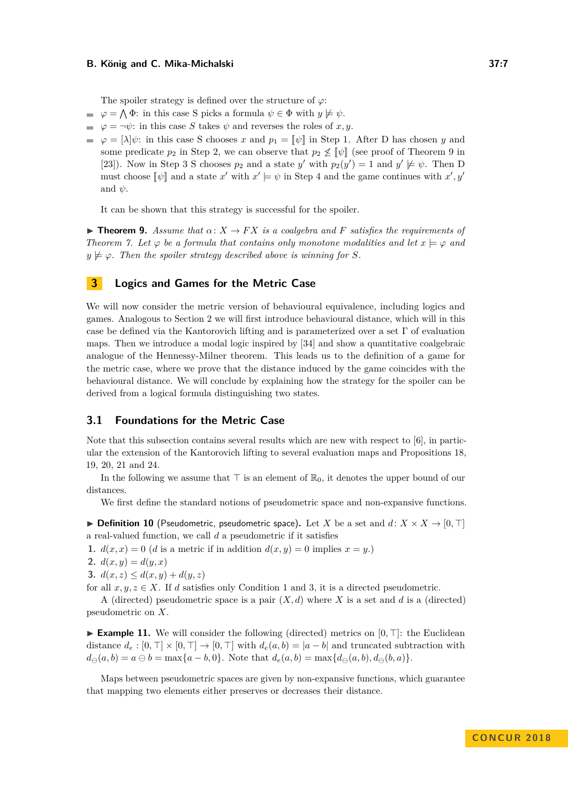The spoiler strategy is defined over the structure of *ϕ*:

- $\varphi = \bigwedge \Phi$ : in this case S picks a formula  $\psi \in \Phi$  with  $y \not\models \psi$ .
- $\varphi = \neg \psi$ : in this case *S* takes  $\psi$  and reverses the roles of *x, y*.
- $\varphi = |\lambda|\psi$ : in this case S chooses *x* and  $p_1 = |\psi|$  in Step 1. After D has chosen *y* and some predicate  $p_2$  in Step 2, we can observe that  $p_2 \nleq \llbracket \psi \rrbracket$  (see proof of Theorem [9](#page-6-1) in [\[23\]](#page-16-0)). Now in Step 3 S chooses  $p_2$  and a state  $y'$  with  $p_2(y') = 1$  and  $y' \not\models \psi$ . Then D must choose  $[\![\psi]\!]$  and a state  $x'$  with  $x' \models \psi$  in Step 4 and the game continues with  $x', y'$ and  $\psi$ .

It can be shown that this strategy is successful for the spoiler.

<span id="page-6-1"></span>**Find 1. Theorem 9.** Assume that  $\alpha: X \to FX$  is a coalgebra and F satisfies the requirements of *Theorem 7.* Let  $\varphi$  be a formula that contains only monotone modalities and let  $x \models \varphi$  and  $y \not\models \varphi$ . Then the spoiler strategy described above is winning for *S*.

## <span id="page-6-0"></span>**3 Logics and Games for the Metric Case**

We will now consider the metric version of behavioural equivalence, including logics and games. Analogous to Section [2](#page-2-0) we will first introduce behavioural distance, which will in this case be defined via the Kantorovich lifting and is parameterized over a set  $\Gamma$  of evaluation maps. Then we introduce a modal logic inspired by [\[34\]](#page-16-13) and show a quantitative coalgebraic analogue of the Hennessy-Milner theorem. This leads us to the definition of a game for the metric case, where we prove that the distance induced by the game coincides with the behavioural distance. We will conclude by explaining how the strategy for the spoiler can be derived from a logical formula distinguishing two states.

## **3.1 Foundations for the Metric Case**

Note that this subsection contains several results which are new with respect to  $[6]$ , in particular the extension of the Kantorovich lifting to several evaluation maps and Propositions [18,](#page-8-0) [19,](#page-8-1) [20,](#page-8-2) [21](#page-9-0) and [24.](#page-10-0)

In the following we assume that  $\top$  is an element of  $\mathbb{R}_0$ , it denotes the upper bound of our distances.

We first define the standard notions of pseudometric space and non-expansive functions.

 $\triangleright$  **Definition 10** (Pseudometric, pseudometric space). Let *X* be a set and *d*:  $X \times X \rightarrow [0, \top]$ a real-valued function, we call *d* a pseudometric if it satisfies

<span id="page-6-2"></span>**1.**  $d(x, x) = 0$  (*d* is a metric if in addition  $d(x, y) = 0$  implies  $x = y$ .)

**2.**  $d(x, y) = d(y, x)$ 

<span id="page-6-3"></span>**3.**  $d(x, z) \leq d(x, y) + d(y, z)$ 

for all  $x, y, z \in X$ . If *d* satisfies only Condition [1](#page-6-2) and [3,](#page-6-3) it is a directed pseudometric.

A (directed) pseudometric space is a pair (*X, d*) where *X* is a set and *d* is a (directed) pseudometric on *X*.

**Example 11.** We will consider the following (directed) metrics on  $[0, \top]$ : the Euclidean distance  $d_e : [0, \top] \times [0, \top] \rightarrow [0, \top]$  with  $d_e(a, b) = |a - b|$  and truncated subtraction with  $d_{\Theta}(a, b) = a \oplus b = \max\{a - b, 0\}.$  Note that  $d_e(a, b) = \max\{d_{\Theta}(a, b), d_{\Theta}(b, a)\}.$ 

Maps between pseudometric spaces are given by non-expansive functions, which guarantee that mapping two elements either preserves or decreases their distance.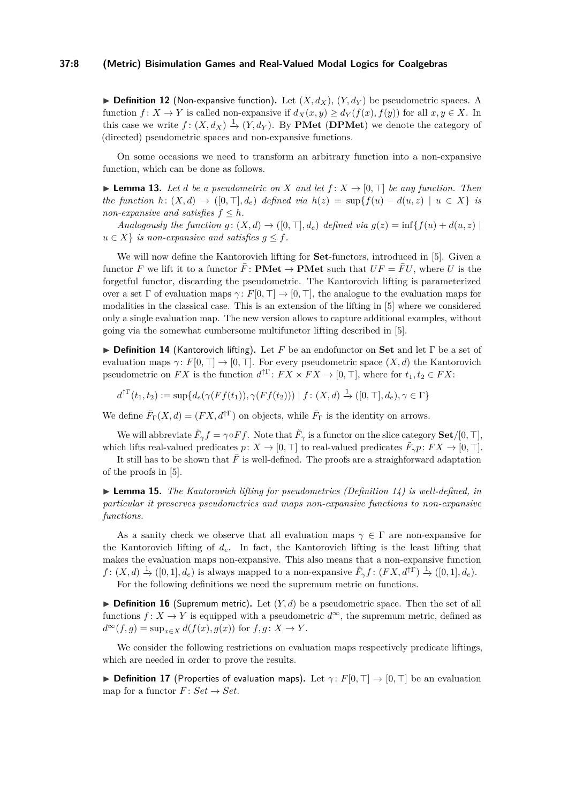## **37:8 (Metric) Bisimulation Games and Real-Valued Modal Logics for Coalgebras**

 $\triangleright$  **Definition 12** (Non-expansive function). Let  $(X, d_X)$ ,  $(Y, d_Y)$  be pseudometric spaces. A function  $f: X \to Y$  is called non-expansive if  $d_X(x, y) \ge d_Y(f(x), f(y))$  for all  $x, y \in X$ . In this case we write  $f: (X, d_X) \stackrel{1}{\rightarrow} (Y, d_Y)$ . By **PMet** (DPMet) we denote the category of (directed) pseudometric spaces and non-expansive functions.

On some occasions we need to transform an arbitrary function into a non-expansive function, which can be done as follows.

<span id="page-7-2"></span> $\blacktriangleright$  **Lemma 13.** Let *d* be a pseudometric on *X* and let  $f: X \to [0, \top]$  be any function. Then *the function*  $h: (X, d) \rightarrow ([0, \top], d_e)$  *defined via*  $h(z) = \sup\{f(u) - d(u, z) \mid u \in X\}$  *is non-expansive and satisfies*  $f \leq h$ *.* 

*Analogously the function*  $g: (X, d) \rightarrow ([0, \top], d_e)$  *defined via*  $g(z) = \inf\{f(u) + d(u, z) \}$  $u \in X$  *is non-expansive and satisfies*  $q \leq f$ *.* 

We will now define the Kantorovich lifting for **Set**-functors, introduced in [\[5\]](#page-15-12). Given a functor *F* we lift it to a functor  $\bar{F}$ : **PMet**  $\rightarrow$  **PMet** such that  $UF = \bar{F}U$ , where *U* is the forgetful functor, discarding the pseudometric. The Kantorovich lifting is parameterized over a set Γ of evaluation maps  $\gamma: F[0, \top] \to [0, \top]$ , the analogue to the evaluation maps for modalities in the classical case. This is an extension of the lifting in [\[5\]](#page-15-12) where we considered only a single evaluation map. The new version allows to capture additional examples, without going via the somewhat cumbersome multifunctor lifting described in [\[5\]](#page-15-12).

<span id="page-7-0"></span>I **Definition 14** (Kantorovich lifting)**.** Let *F* be an endofunctor on **Set** and let Γ be a set of evaluation maps *γ*:  $F[0, \top] \rightarrow [0, \top]$ . For every pseudometric space  $(X, d)$  the Kantorovich pseudometric on  $FX$  is the function  $d^{\uparrow \Gamma}$ :  $FX \times FX \to [0, \top]$ , where for  $t_1, t_2 \in FX$ :

 $d^{\uparrow \Gamma}(t_1, t_2) := \sup \{ d_e(\gamma(Ff(t_1)), \gamma(Ff(t_2))) \mid f: (X, d) \xrightarrow{1} ([0, \top], d_e), \gamma \in \Gamma \}$ 

We define  $\bar{F}_{\Gamma}(X, d) = (FX, d^{\uparrow \Gamma})$  on objects, while  $\bar{F}_{\Gamma}$  is the identity on arrows.

We will abbreviate  $\tilde{F}_{\gamma} f = \gamma \circ F f$ . Note that  $\tilde{F}_{\gamma}$  is a functor on the slice category **Set**/[0,  $\top$ ], which lifts real-valued predicates  $p: X \to [0, \top]$  to real-valued predicates  $\tilde{F}_{\gamma}p: FX \to [0, \top]$ .

It still has to be shown that  $\bar{F}$  is well-defined. The proofs are a straighforward adaptation of the proofs in [\[5\]](#page-15-12).

I **Lemma 15.** *The Kantorovich lifting for pseudometrics (Definition [14\)](#page-7-0) is well-defined, in particular it preserves pseudometrics and maps non-expansive functions to non-expansive functions.*

As a sanity check we observe that all evaluation maps  $\gamma \in \Gamma$  are non-expansive for the Kantorovich lifting of *de*. In fact, the Kantorovich lifting is the least lifting that makes the evaluation maps non-expansive. This also means that a non-expansive function  $f: (X, d) \stackrel{1}{\rightarrow} ([0, 1], d_e)$  is always mapped to a non-expansive  $\tilde{F}_{\gamma} f: (FX, d^{\uparrow \Gamma}) \stackrel{1}{\rightarrow} ([0, 1], d_e)$ . For the following definitions we need the supremum metric on functions.

 $\triangleright$  **Definition 16** (Supremum metric). Let  $(Y, d)$  be a pseudometric space. Then the set of all functions  $f: X \to Y$  is equipped with a pseudometric  $d^{\infty}$ , the supremum metric, defined as  $d^{\infty}(f,g) = \sup_{x \in X} d(f(x),g(x))$  for  $f,g: X \to Y$ .

We consider the following restrictions on evaluation maps respectively predicate liftings, which are needed in order to prove the results.

<span id="page-7-1"></span>**► Definition 17** (Properties of evaluation maps). Let  $\gamma$ :  $F[0, \top] \rightarrow [0, \top]$  be an evaluation map for a functor  $F: Set \rightarrow Set$ .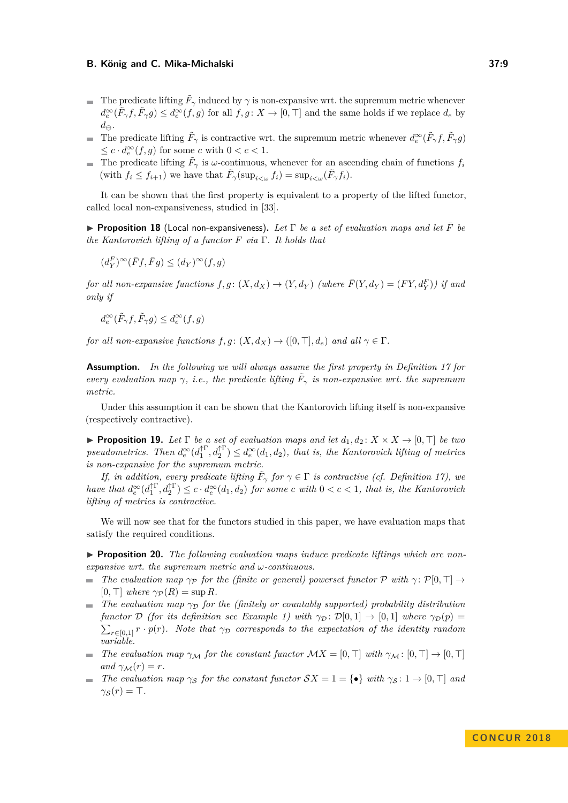- The predicate lifting  $\tilde{F}_{\gamma}$  induced by  $\gamma$  is non-expansive wrt. the supremum metric whenever  $d_e^{\infty}(\tilde{F}_{\gamma}f, \tilde{F}_{\gamma}g) \leq d_e^{\infty}(f, g)$  for all  $f, g: X \to [0, \top]$  and the same holds if we replace  $d_e$  by  $d_{\ominus}$ .
- The predicate lifting  $\tilde{F}_{\gamma}$  is contractive wrt. the supremum metric whenever  $d_e^{\infty}(\tilde{F}_{\gamma}f, \tilde{F}_{\gamma}g)$  $\leq c \cdot d_e^{\infty}(f, g)$  for some *c* with  $0 < c < 1$ .
- The predicate lifting  $\tilde{F}_{\gamma}$  is *ω*-continuous, whenever for an ascending chain of functions  $f_i$ (with  $f_i \leq f_{i+1}$ ) we have that  $\tilde{F}_{\gamma}(\sup_{i \leq \omega} f_i) = \sup_{i \leq \omega} (\tilde{F}_{\gamma} f_i)$ .

It can be shown that the first property is equivalent to a property of the lifted functor, called local non-expansiveness, studied in [\[33\]](#page-16-11).

<span id="page-8-0"></span>**Proposition 18** (Local non-expansiveness). Let  $\Gamma$  be a set of evaluation maps and let  $\overline{F}$  be *the Kantorovich lifting of a functor F via* Γ*. It holds that*

$$
(d^F_Y)^\infty(\bar Ff,\bar Fg)\leq (d_Y)^\infty(f,g)
$$

*for all non-expansive functions*  $f, g: (X, d_X) \rightarrow (Y, d_Y)$  (where  $\overline{F}(Y, d_Y) = (FY, d_Y^F)$ ) if and *only if*

$$
d^\infty_e(\tilde F_\gamma f,\tilde F_\gamma g)\leq d^\infty_e(f,g)
$$

*for all non-expansive functions*  $f, g: (X, d_X) \to ([0, \top], d_e)$  *and all*  $\gamma \in \Gamma$ *.* 

**Assumption.** *In the following we will always assume the first property in Definition [17](#page-7-1) for every evaluation map*  $\gamma$ , *i.e.*, the predicate lifting  $\tilde{F}_{\gamma}$  is non-expansive wrt. the supremum *metric.*

Under this assumption it can be shown that the Kantorovich lifting itself is non-expansive (respectively contractive).

<span id="page-8-1"></span>**Proposition 19.** Let  $\Gamma$  be a set of evaluation maps and let  $d_1, d_2 \colon X \times X \to [0, \top]$  be two *pseudometrics.* Then  $d_e^{\infty}(d_1^{\uparrow \Gamma}, d_2^{\uparrow \Gamma}) \leq d_e^{\infty}(d_1, d_2)$ , that is, the Kantorovich lifting of metrics *is non-expansive for the supremum metric.*

*If, in addition, every predicate lifting*  $\tilde{F}_{\gamma}$  *for*  $\gamma \in \Gamma$  *is contractive (cf. Definition [17\)](#page-7-1), we*  $h$  *ave that*  $d_e^{\infty}(d_1^{\uparrow \Gamma}, d_2^{\uparrow \Gamma}) \leq c \cdot d_e^{\infty}(d_1, d_2)$  *for some c with*  $0 < c < 1$ *, that is, the Kantorovich lifting of metrics is contractive.*

We will now see that for the functors studied in this paper, we have evaluation maps that satisfy the required conditions.

<span id="page-8-2"></span>▶ **Proposition 20.** The following evaluation maps induce predicate liftings which are non*expansive wrt. the supremum metric and ω-continuous.*

- *The evaluation map*  $\gamma_P$  *for the (finite or general) powerset functor*  $\mathcal P$  *with*  $\gamma$ :  $\mathcal P[0, \top] \rightarrow$  $[0, \top]$  where  $\gamma_{\mathcal{P}}(R) = \sup R$ .
- *The evaluation map*  $\gamma_D$  *for the (finitely or countably supported) probability distribution*  $\sim$ *functor* D *(for its definition see Example [1\)](#page-2-1)* with  $\gamma_{\mathcal{D}}: \mathcal{D}[0,1] \to [0,1]$  where  $\gamma_{\mathcal{D}}(p) =$  $\sum_{r \in [0,1]} r \cdot p(r)$ . Note that  $\gamma_{\mathcal{D}}$  corresponds to the expectation of the identity random *variable.*
- *The evaluation map*  $\gamma_M$  *for the constant functor*  $\mathcal{M}X = [0, \top]$  *with*  $\gamma_M : [0, \top] \to [0, \top]$  $and \gamma_{\mathcal{M}}(r) = r.$
- *The evaluation map*  $\gamma_S$  *for the constant functor*  $SX = 1 = \{ \bullet \}$  *with*  $\gamma_S : 1 \to [0, \top]$  *and*  $\gamma_{\mathcal{S}}(r) = \top$ .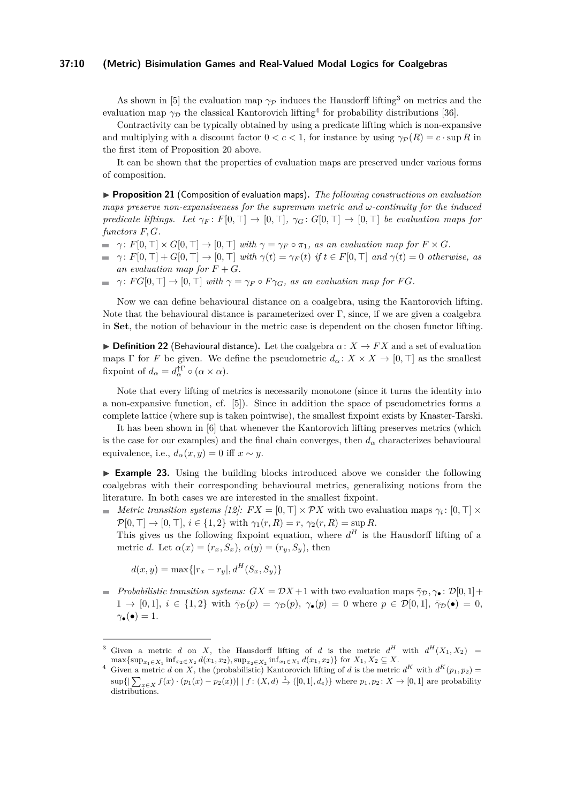### **37:10 (Metric) Bisimulation Games and Real-Valued Modal Logics for Coalgebras**

As shown in [\[5\]](#page-15-12) the evaluation map  $\gamma_{\mathcal{P}}$  induces the Hausdorff lifting<sup>[3](#page-9-1)</sup> on metrics and the evaluation map  $\gamma_{\mathcal{D}}$  the classical Kantorovich lifting<sup>[4](#page-9-2)</sup> for probability distributions [\[36\]](#page-16-16).

Contractivity can be typically obtained by using a predicate lifting which is non-expansive and multiplying with a discount factor  $0 < c < 1$ , for instance by using  $\gamma_P(R) = c \cdot \sup R$  in the first item of Proposition [20](#page-8-2) above.

It can be shown that the properties of evaluation maps are preserved under various forms of composition.

<span id="page-9-0"></span>I **Proposition 21** (Composition of evaluation maps)**.** *The following constructions on evaluation maps preserve non-expansiveness for the supremum metric and ω-continuity for the induced predicate liftings. Let*  $\gamma_F \colon F[0, \top] \to [0, \top]$ ,  $\gamma_G \colon G[0, \top] \to [0, \top]$  be evaluation maps for *functors F, G.*

- $\varphi$  *γ* :  $F[0, \top] \times G[0, \top] \rightarrow [0, \top]$  *with*  $\gamma = \gamma_F \circ \pi_1$ *, as an evaluation map for*  $F \times G$ *.*
- $\gamma: F[0, \top] + G[0, \top] \rightarrow [0, \top]$  with  $\gamma(t) = \gamma_F(t)$  if  $t \in F[0, \top]$  and  $\gamma(t) = 0$  otherwise, as  $\blacksquare$ an evaluation map for  $F + G$ .
- $\rightarrow$  *γ*:  $FG[0, \top] \rightarrow [0, \top]$  *with*  $\gamma = \gamma_F \circ F \gamma_G$ *, as an evaluation map for FG.*

Now we can define behavioural distance on a coalgebra, using the Kantorovich lifting. Note that the behavioural distance is parameterized over  $\Gamma$ , since, if we are given a coalgebra in **Set**, the notion of behaviour in the metric case is dependent on the chosen functor lifting.

 $\triangleright$  **Definition 22** (Behavioural distance). Let the coalgebra  $\alpha: X \to FX$  and a set of evaluation maps  $\Gamma$  for *F* be given. We define the pseudometric  $d_{\alpha}: X \times X \to [0, \top]$  as the smallest fixpoint of  $d_{\alpha} = d_{\alpha}^{\dagger \Gamma} \circ (\alpha \times \alpha)$ .

Note that every lifting of metrics is necessarily monotone (since it turns the identity into a non-expansive function, cf. [\[5\]](#page-15-12)). Since in addition the space of pseudometrics forms a complete lattice (where sup is taken pointwise), the smallest fixpoint exists by Knaster-Tarski.

It has been shown in [\[6\]](#page-15-13) that whenever the Kantorovich lifting preserves metrics (which is the case for our examples) and the final chain converges, then  $d_{\alpha}$  characterizes behavioural equivalence, i.e.,  $d_{\alpha}(x, y) = 0$  iff  $x \sim y$ .

<span id="page-9-3"></span>► **Example 23.** Using the building blocks introduced above we consider the following coalgebras with their corresponding behavioural metrics, generalizing notions from the literature. In both cases we are interested in the smallest fixpoint.

*Metric transition systems [\[12\]](#page-15-10):*  $FX = [0, \top] \times \mathcal{P}X$  with two evaluation maps  $\gamma_i : [0, \top] \times$  $\mathcal{P}[0, \top] \to [0, \top], i \in \{1, 2\}$  with  $\gamma_1(r, R) = r$ ,  $\gamma_2(r, R) = \sup R$ .

This gives us the following fixpoint equation, where  $d^H$  is the Hausdorff lifting of a metric *d*. Let  $\alpha(x) = (r_x, S_x), \alpha(y) = (r_y, S_y)$ , then

 $d(x, y) = \max\{|r_x - r_y|, d^H(S_x, S_y)\}$ 

*Probabilistic transition systems:*  $GX = DX + 1$  with two evaluation maps  $\bar{\gamma}_D, \gamma_\bullet : \mathcal{D}[0, 1] +$  $1 \rightarrow [0,1], i \in \{1,2\}$  with  $\bar{\gamma}_{\mathcal{D}}(p) = \gamma_{\mathcal{D}}(p), \gamma_{\bullet}(p) = 0$  where  $p \in \mathcal{D}[0,1], \bar{\gamma}_{\mathcal{D}}(\bullet) = 0$ ,  $\gamma_{\bullet}(\bullet) = 1.$ 

<span id="page-9-1"></span><sup>&</sup>lt;sup>3</sup> Given a metric *d* on *X*, the Hausdorff lifting of *d* is the metric  $d^H$  with  $d^H(X_1, X_2) =$ max{ $\sup_{x_1 \in X_1} \inf_{x_2 \in X_2} d(x_1, x_2)$ ,  $\sup_{x_2 \in X_2} \inf_{x_1 \in X_1} d(x_1, x_2)$ } for  $X_1, X_2 \subseteq X$ .

<span id="page-9-2"></span><sup>&</sup>lt;sup>4</sup> Given a metric *d* on *X*, the (probabilistic) Kantorovich lifting of *d* is the metric  $d^K$  with  $d^K(p_1, p_2)$  $\sup\{|\sum_{x\in X} f(x)\cdot (p_1(x)-p_2(x))| \mid f:(X,d)\stackrel{1}{\to} ([0,1],d_e)\}\$  where  $p_1,p_2\colon X\to [0,1]$  are probability distributions.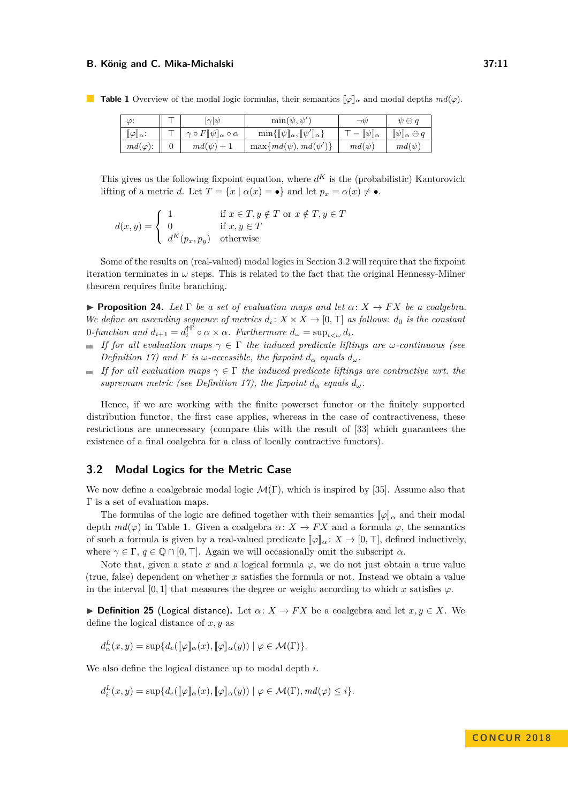| ω:                         | $ \gamma  \psi$                              | $\min(\psi, \psi')$                                                                 | $\neg v$                | $\psi \ominus q$                     |
|----------------------------|----------------------------------------------|-------------------------------------------------------------------------------------|-------------------------|--------------------------------------|
| $[\![\varphi]\!]_\alpha$ : | $\gamma \circ F[\psi]_{\alpha} \circ \alpha$ | $\min\{\llbracket \psi \rrbracket_{\alpha},\llbracket \psi' \rrbracket_{\alpha}\}\$ | $[\![\psi]\!]_{\alpha}$ | $[\![\psi]\!]_\alpha$<br>$\ominus$ c |
| $md(\varphi)$ :            | $md(\psi)+1$                                 | $\max\{md(\psi),md(\psi')\}$                                                        | $md(\psi)$              | $md(\psi)$                           |

<span id="page-10-2"></span>**Table 1** Overview of the modal logic formulas, their semantics  $\llbracket \varphi \rrbracket_{\alpha}$  and modal depths  $md(\varphi)$ .

This gives us the following fixpoint equation, where  $d^K$  is the (probabilistic) Kantorovich lifting of a metric *d*. Let  $T = \{x \mid \alpha(x) = \bullet\}$  and let  $p_x = \alpha(x) \neq \bullet$ .

$$
d(x,y) = \begin{cases} 1 & \text{if } x \in T, y \notin T \text{ or } x \notin T, y \in T \\ 0 & \text{if } x, y \in T \\ d^K(p_x, p_y) & \text{otherwise} \end{cases}
$$

Some of the results on (real-valued) modal logics in Section [3.2](#page-10-1) will require that the fixpoint iteration terminates in  $\omega$  steps. This is related to the fact that the original Hennessy-Milner theorem requires finite branching.

<span id="page-10-0"></span>**Proposition 24.** Let  $\Gamma$  *be a set of evaluation maps and let*  $\alpha: X \to FX$  *be a coalgebra. We define an ascending sequence of metrics*  $d_i: X \times X \to [0, \top]$  *as follows:*  $d_0$  *is the constant* 0-function and  $d_{i+1} = d_i^{\uparrow \Gamma} \circ \alpha \times \alpha$ . Furthermore  $d_{\omega} = \sup_{i < \omega} d_i$ .

- *If for all evaluation maps*  $\gamma \in \Gamma$  *the induced predicate liftings are ω-continuous (see Definition* [17\)](#page-7-1) and *F is*  $\omega$ -accessible, the fixpoint  $d_{\alpha}$  *equals*  $d_{\omega}$ *.*
- $\blacksquare$  *If for all evaluation maps*  $\gamma \in \Gamma$  *the induced predicate liftings are contractive wrt. the supremum metric (see Definition [17\)](#page-7-1), the fixpoint*  $d_{\alpha}$  *equals*  $d_{\omega}$ *.*

Hence, if we are working with the finite powerset functor or the finitely supported distribution functor, the first case applies, whereas in the case of contractiveness, these restrictions are unnecessary (compare this with the result of [\[33\]](#page-16-11) which guarantees the existence of a final coalgebra for a class of locally contractive functors).

## <span id="page-10-1"></span>**3.2 Modal Logics for the Metric Case**

We now define a coalgebraic modal logic  $\mathcal{M}(\Gamma)$ , which is inspired by [\[35\]](#page-16-12). Assume also that Γ is a set of evaluation maps.

The formulas of the logic are defined together with their semantics  $\llbracket \varphi \rrbracket_{\alpha}$  and their modal depth  $md(\varphi)$  in Table [1.](#page-10-2) Given a coalgebra  $\alpha: X \to FX$  and a formula  $\varphi$ , the semantics of such a formula is given by a real-valued predicate  $\llbracket \varphi \rrbracket_{\alpha} : X \to [0, \top]$ , defined inductively, where  $\gamma \in \Gamma$ ,  $q \in \mathbb{Q} \cap [0, \top]$ . Again we will occasionally omit the subscript  $\alpha$ .

Note that, given a state x and a logical formula  $\varphi$ , we do not just obtain a true value (true, false) dependent on whether *x* satisfies the formula or not. Instead we obtain a value in the interval [0, 1] that measures the degree or weight according to which *x* satisfies  $\varphi$ .

**► Definition 25** (Logical distance). Let  $\alpha: X \to FX$  be a coalgebra and let  $x, y \in X$ . We define the logical distance of *x, y* as

$$
d^L_{\alpha}(x,y) = \sup \{ d_e(\llbracket \varphi \rrbracket_{\alpha}(x), \llbracket \varphi \rrbracket_{\alpha}(y)) \mid \varphi \in \mathcal{M}(\Gamma) \}.
$$

We also define the logical distance up to modal depth *i*.

 $d_i^L(x, y) = \sup \{ d_e(\llbracket \varphi \rrbracket_\alpha(x), \llbracket \varphi \rrbracket_\alpha(y)) \mid \varphi \in \mathcal{M}(\Gamma), md(\varphi) \leq i \}.$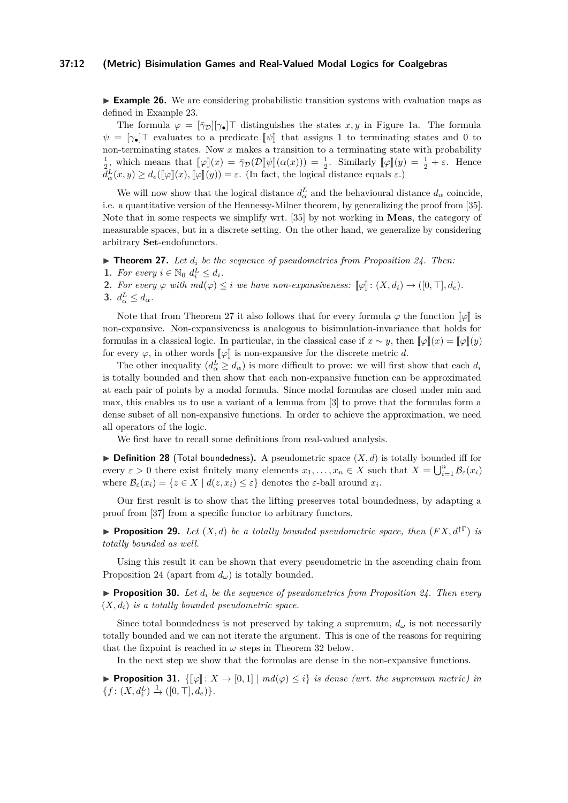#### **37:12 (Metric) Bisimulation Games and Real-Valued Modal Logics for Coalgebras**

<span id="page-11-1"></span>**Example 26.** We are considering probabilistic transition systems with evaluation maps as defined in Example [23.](#page-9-3)

The formula  $\varphi = [\bar{\gamma}_D][\gamma_\bullet]$  distinguishes the states *x, y* in Figure [1a.](#page-3-0) The formula  $\psi = [\gamma_{\bullet}]^{\top}$  evaluates to a predicate  $[\![\psi]\!]$  that assigns 1 to terminating states and 0 to non-terminating states. Now *x* makes a transition to a terminating state with probability  $\frac{1}{2}$ , which means that  $\llbracket \varphi \rrbracket(x) = \overline{\gamma}_\mathcal{D}(\mathcal{D}[\![\psi]\!](\alpha(x))) = \frac{1}{2}$ . Similarly  $\llbracket \varphi \rrbracket(y) = \frac{1}{2} + \varepsilon$ . Hence  $d_{\alpha}^{L}(x, y) \geq d_{e}(\llbracket \varphi \rrbracket(x), \llbracket \varphi \rrbracket(y)) = \varepsilon$ . (In fact, the logical distance equals  $\varepsilon$ .)

We will now show that the logical distance  $d^L_{\alpha}$  and the behavioural distance  $d_{\alpha}$  coincide, i.e. a quantitative version of the Hennessy-Milner theorem, by generalizing the proof from [\[35\]](#page-16-12). Note that in some respects we simplify wrt. [\[35\]](#page-16-12) by not working in **Meas**, the category of measurable spaces, but in a discrete setting. On the other hand, we generalize by considering arbitrary **Set**-endofunctors.

<span id="page-11-0"></span> $\triangleright$  **Theorem 27.** Let  $d_i$  be the sequence of pseudometrics from Proposition [24.](#page-10-0) Then:

- **1.** *For every*  $i \in \mathbb{N}_0$   $d_i^L \leq d_i$ *.*
- **2.** For every  $\varphi$  with  $md(\varphi) \leq i$  we have non-expansiveness:  $[\varphi] : (X, d_i) \to ([0, \top], d_e)$ .

**3.**  $d_{\alpha}^L \leq d_{\alpha}$ .

Note that from Theorem [27](#page-11-0) it also follows that for every formula  $\varphi$  the function  $\llbracket \varphi \rrbracket$  is non-expansive. Non-expansiveness is analogous to bisimulation-invariance that holds for formulas in a classical logic. In particular, in the classical case if  $x \sim y$ , then  $\llbracket \varphi \rrbracket(x) = \llbracket \varphi \rrbracket(y)$ for every  $\varphi$ , in other words  $\llbracket \varphi \rrbracket$  is non-expansive for the discrete metric *d*.

The other inequality  $(d_{\alpha}^L \geq d_{\alpha})$  is more difficult to prove: we will first show that each  $d_i$ is totally bounded and then show that each non-expansive function can be approximated at each pair of points by a modal formula. Since modal formulas are closed under min and max, this enables us to use a variant of a lemma from [\[3\]](#page-15-19) to prove that the formulas form a dense subset of all non-expansive functions. In order to achieve the approximation, we need all operators of the logic.

We first have to recall some definitions from real-valued analysis.

<span id="page-11-2"></span> $\triangleright$  **Definition 28** (Total boundedness). A pseudometric space  $(X, d)$  is totally bounded iff for every  $\varepsilon > 0$  there exist finitely many elements  $x_1, \ldots, x_n \in X$  such that  $X = \bigcup_{i=1}^n \mathcal{B}_{\varepsilon}(x_i)$ where  $\mathcal{B}_{\varepsilon}(x_i) = \{z \in X \mid d(z, x_i) \leq \varepsilon\}$  denotes the  $\varepsilon$ -ball around  $x_i$ .

Our first result is to show that the lifting preserves total boundedness, by adapting a proof from [\[37\]](#page-16-14) from a specific functor to arbitrary functors.

**Proposition 29.** Let  $(X,d)$  be a totally bounded pseudometric space, then  $(FX,d^{\dagger\Gamma})$  is *totally bounded as well.*

Using this result it can be shown that every pseudometric in the ascending chain from Proposition [24](#page-10-0) (apart from  $d_{\omega}$ ) is totally bounded.

I **Proposition 30.** *Let d<sup>i</sup> be the sequence of pseudometrics from Proposition [24.](#page-10-0) Then every*  $(X, d_i)$  *is a totally bounded pseudometric space.* 

Since total boundedness is not preserved by taking a supremum,  $d_{\omega}$  is not necessarily totally bounded and we can not iterate the argument. This is one of the reasons for requiring that the fixpoint is reached in  $\omega$  steps in Theorem [32](#page-12-0) below.

In the next step we show that the formulas are dense in the non-expansive functions.

**► Proposition 31.**  $\{[\![\varphi]\!] : X \to [0,1] \mid md(\varphi) \leq i\}$  *is dense (wrt. the supremum metric) in*  ${f: (X, d_i^L) \xrightarrow{1} ([0, \top], d_e)}$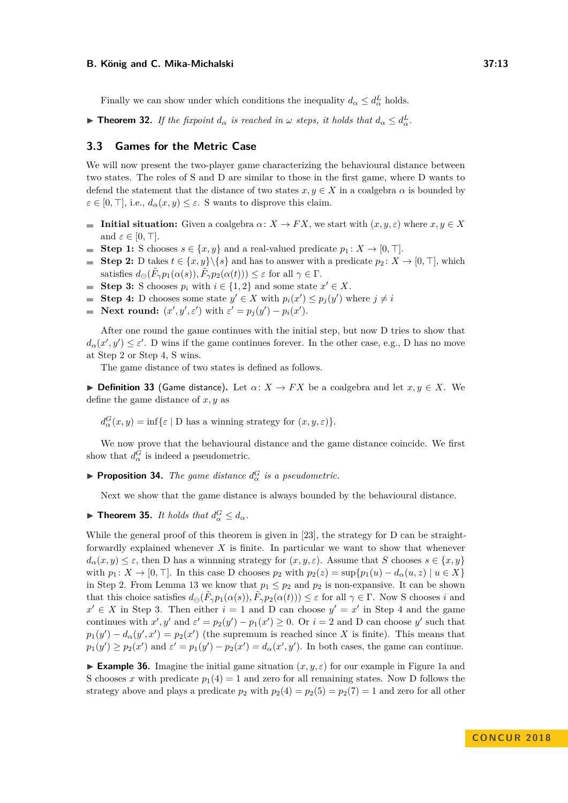Finally we can show under which conditions the inequality  $d_{\alpha} \leq d_{\alpha}^L$  holds.

<span id="page-12-0"></span>► **Theorem 32.** *If the fixpoint*  $d_{\alpha}$  *is reached in*  $\omega$  *steps, it holds that*  $d_{\alpha} \leq d_{\alpha}^L$ .

## **3.3 Games for the Metric Case**

We will now present the two-player game characterizing the behavioural distance between two states. The roles of S and D are similar to those in the first game, where D wants to defend the statement that the distance of two states  $x, y \in X$  in a coalgebra  $\alpha$  is bounded by  $\varepsilon \in [0, \top]$ , i.e.,  $d_{\alpha}(x, y) \leq \varepsilon$ . S wants to disprove this claim.

- **Initial situation:** Given a coalgebra  $\alpha: X \to FX$ , we start with  $(x, y, \varepsilon)$  where  $x, y \in X$ and  $\varepsilon \in [0, \top]$ .
- **Step 1:** S chooses  $s \in \{x, y\}$  and a real-valued predicate  $p_1 : X \to [0, \top]$ . **COLLEGE**
- **Step 2:** D takes  $t \in \{x, y\} \backslash \{s\}$  and has to answer with a predicate  $p_2 \colon X \to [0, \top]$ , which  $\sim$ satisfies  $d_{\ominus}(\tilde{F}_{\gamma}p_1(\alpha(s)), \tilde{F}_{\gamma}p_2(\alpha(t))) \leq \varepsilon$  for all  $\gamma \in \Gamma$ .
- **Step 3:** S chooses  $p_i$  with  $i \in \{1, 2\}$  and some state  $x' \in X$ .  $\mathcal{L}_{\mathcal{A}}$
- **Step 4:** D chooses some state  $y' \in X$  with  $p_i(x') \leq p_j(y')$  where  $j \neq i$
- **Next round:**  $(x', y', \varepsilon')$  with  $\varepsilon' = p_j(y') p_i(x')$ .

After one round the game continues with the initial step, but now D tries to show that  $d_{\alpha}(x', y') \leq \varepsilon'$ . D wins if the game continues forever. In the other case, e.g., D has no move at Step 2 or Step 4, S wins.

The game distance of two states is defined as follows.

**► Definition 33** (Game distance). Let  $\alpha: X \to FX$  be a coalgebra and let  $x, y \in X$ . We define the game distance of *x, y* as

 $d_{\alpha}^{G}(x, y) = \inf \{ \varepsilon \mid D \text{ has a winning strategy for } (x, y, \varepsilon) \}.$ 

We now prove that the behavioural distance and the game distance coincide. We first show that  $d_{\alpha}^G$  is indeed a pseudometric.

**Proposition 34.** *The game distance*  $d_{\alpha}^{G}$  *is a pseudometric.* 

Next we show that the game distance is always bounded by the behavioural distance.

**Find Theorem 35.** *It holds that*  $d_{\alpha}^G \leq d_{\alpha}$ .

While the general proof of this theorem is given in [\[23\]](#page-16-0), the strategy for D can be straightforwardly explained whenever *X* is finite. In particular we want to show that whenever  $d_{\alpha}(x, y) \leq \varepsilon$ , then D has a winnning strategy for  $(x, y, \varepsilon)$ . Assume that *S* chooses  $s \in \{x, y\}$ with  $p_1: X \to [0, \top]$ . In this case D chooses  $p_2$  with  $p_2(z) = \sup\{p_1(u) - d_\alpha(u, z) \mid u \in X\}$ in Step 2. From Lemma [13](#page-7-2) we know that  $p_1 \leq p_2$  and  $p_2$  is non-expansive. It can be shown that this choice satisfies  $d_{\ominus}(\tilde{F}_{\gamma}p_1(\alpha(s)), \tilde{F}_{\gamma}p_2(\alpha(t))) \leq \varepsilon$  for all  $\gamma \in \Gamma$ . Now S chooses *i* and  $x' \in X$  in Step 3. Then either  $i = 1$  and D can choose  $y' = x'$  in Step 4 and the game continues with  $x'$ ,  $y'$  and  $\varepsilon' = p_2(y') - p_1(x') \ge 0$ . Or  $i = 2$  and D can choose  $y'$  such that  $p_1(y') - d_{\alpha}(y', x') = p_2(x')$  (the supremum is reached since *X* is finite). This means that  $p_1(y') \geq p_2(x')$  and  $\varepsilon' = p_1(y') - p_2(x') = d_\alpha(x', y')$ . In both cases, the game can continue.

**Example 36.** Imagine the initial game situation  $(x, y, \varepsilon)$  for our example in Figure [1a](#page-3-0) and S chooses *x* with predicate  $p_1(4) = 1$  and zero for all remaining states. Now D follows the strategy above and plays a predicate  $p_2$  with  $p_2(4) = p_2(5) = p_2(7) = 1$  and zero for all other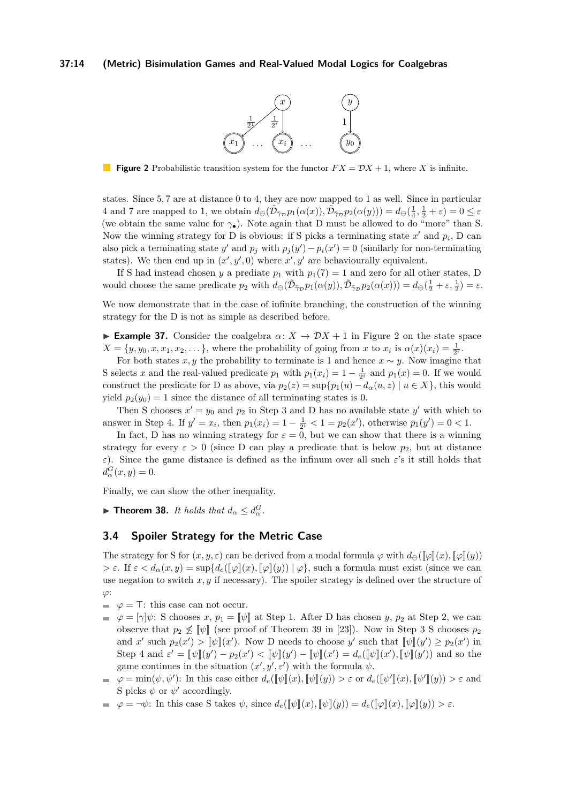#### <span id="page-13-0"></span>**37:14 (Metric) Bisimulation Games and Real-Valued Modal Logics for Coalgebras**



**Figure 2** Probabilistic transition system for the functor  $FX = DX + 1$ , where *X* is infinite.

states. Since 5*,* 7 are at distance 0 to 4, they are now mapped to 1 as well. Since in particular 4 and 7 are mapped to 1, we obtain  $d_{\Theta}(\tilde{\mathcal{D}}_{\tilde{\gamma}_{\mathcal{D}}} p_1(\alpha(x)), \tilde{\mathcal{D}}_{\tilde{\gamma}_{\mathcal{D}}} p_2(\alpha(y))) = d_{\Theta}(\frac{1}{4}, \frac{1}{2} + \varepsilon) = 0 \le \varepsilon$ (we obtain the same value for  $\gamma_{\bullet}$ ). Note again that D must be allowed to do "more" than S. Now the winning strategy for D is obvious: if S picks a terminating state  $x'$  and  $p_i$ , D can also pick a terminating state  $y'$  and  $p_j$  with  $p_j(y') - p_i(x') = 0$  (similarly for non-terminating states). We then end up in  $(x', y', 0)$  where  $x', y'$  are behaviourally equivalent.

If S had instead chosen *y* a prediate  $p_1$  with  $p_1(7) = 1$  and zero for all other states, D would choose the same predicate  $p_2$  with  $d_{\ominus}(\tilde{\mathcal{D}}_{\tilde{\gamma}_{\mathcal{D}}}p_1(\alpha(y)), \tilde{\mathcal{D}}_{\tilde{\gamma}_{\mathcal{D}}}p_2(\alpha(x))) = d_{\ominus}(\frac{1}{2} + \varepsilon, \frac{1}{2}) = \varepsilon$ .

We now demonstrate that in the case of infinite branching, the construction of the winning strategy for the D is not as simple as described before.

**Example 37.** Consider the coalgebra  $\alpha: X \to \mathcal{D}X + 1$  in Figure [2](#page-13-0) on the state space  $X = \{y, y_0, x, x_1, x_2, \ldots\}$ , where the probability of going from *x* to  $x_i$  is  $\alpha(x)(x_i) = \frac{1}{2^i}$ .

For both states *x*, *y* the probability to terminate is 1 and hence  $x \sim y$ . Now imagine that S selects *x* and the real-valued predicate  $p_1$  with  $p_1(x_i) = 1 - \frac{1}{2^i}$  and  $p_1(x) = 0$ . If we would construct the predicate for D as above, via  $p_2(z) = \sup\{p_1(u) - d_\alpha(u, z) \mid u \in X\}$ , this would yield  $p_2(y_0) = 1$  since the distance of all terminating states is 0.

Then S chooses  $x' = y_0$  and  $p_2$  in Step 3 and D has no available state  $y'$  with which to answer in Step 4. If  $y' = x_i$ , then  $p_1(x_i) = 1 - \frac{1}{2^i} < 1 = p_2(x')$ , otherwise  $p_1(y') = 0 < 1$ .

In fact, D has no winning strategy for  $\varepsilon = 0$ , but we can show that there is a winning strategy for every  $\varepsilon > 0$  (since D can play a predicate that is below  $p_2$ , but at distance *ε*). Since the game distance is defined as the infinum over all such *ε*'s it still holds that  $d_{\alpha}^{G}(x,y)=0.$ 

Finally, we can show the other inequality.

<span id="page-13-1"></span>**Find Theorem 38.** *It holds that*  $d_{\alpha} \leq d_{\alpha}^G$ .

## **3.4 Spoiler Strategy for the Metric Case**

The strategy for S for  $(x, y, \varepsilon)$  can be derived from a modal formula  $\varphi$  with  $d_{\Theta}(\llbracket \varphi \rrbracket(x), \llbracket \varphi \rrbracket(y))$  $> \varepsilon$ . If  $\varepsilon < d_\alpha(x, y) = \sup \{ d_e(\llbracket \varphi \rrbracket(x), \llbracket \varphi \rrbracket(y)) \mid \varphi \},$  such a formula must exist (since we can use negation to switch  $x, y$  if necessary). The spoiler strategy is defined over the structure of *ϕ*:

- $\varphi = \top$ : this case can not occur.  $\equiv$
- $\varphi = [\gamma]\psi$ : S chooses *x*,  $p_1 = [\psi]$  at Step 1. After D has chosen *y*,  $p_2$  at Step 2, we can  $\blacksquare$ observe that  $p_2 \nleq [\psi]$  (see proof of Theorem [39](#page-14-1) in [\[23\]](#page-16-0)). Now in Step 3 S chooses  $p_2$ and *x'* such  $p_2(x') > \llbracket \psi \rrbracket(x')$ . Now D needs to choose *y'* such that  $\llbracket \psi \rrbracket(y') \geq p_2(x')$  in Step 4 and  $\varepsilon' = [\![\psi]\!](y') - p_2(x') < [\![\psi]\!](y') - [\![\psi]\!](x') = d_e([\![\psi]\!](x'), [\![\psi]\!](y'))$  and so the game continues in the situation  $(x', y', \varepsilon')$  with the formula  $\psi$ .
- $\varphi = \min(\psi, \psi')$ : In this case either  $d_e(\llbracket \psi \rrbracket(x), \llbracket \psi \rrbracket(y)) > \varepsilon$  or  $d_e(\llbracket \psi' \rrbracket(x), \llbracket \psi' \rrbracket(y)) > \varepsilon$  and S picks  $\psi$  or  $\psi'$  accordingly.
- $\varphi = \neg \psi$ : In this case S takes  $\psi$ , since  $d_e(\llbracket \psi \rrbracket(x), \llbracket \psi \rrbracket(y)) = d_e(\llbracket \varphi \rrbracket(x), \llbracket \varphi \rrbracket(y)) > \varepsilon$ .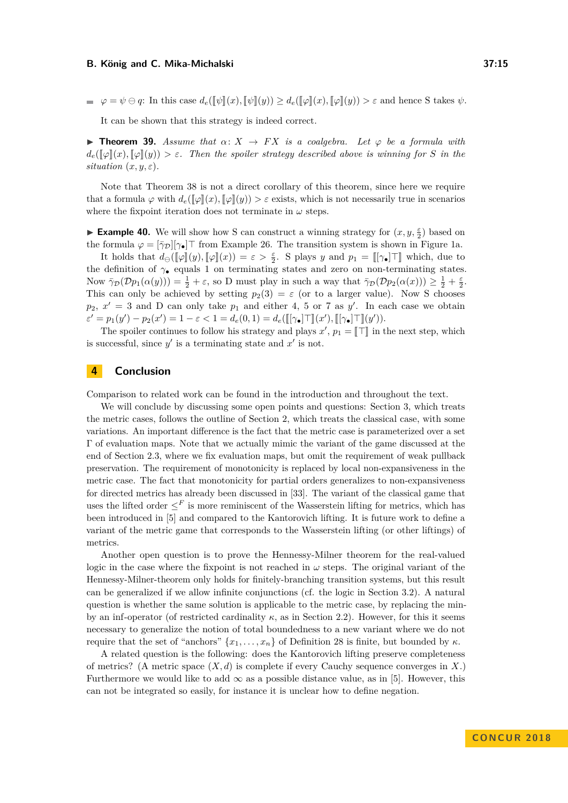$\varphi = \varphi \oplus \varphi$ : In this case  $d_e(\llbracket \psi \rrbracket(x), \llbracket \psi \rrbracket(y)) \geq d_e(\llbracket \varphi \rrbracket(x), \llbracket \varphi \rrbracket(y)) > \varepsilon$  and hence S takes  $\psi$ .

It can be shown that this strategy is indeed correct.

<span id="page-14-1"></span>**Findmer 39.** Assume that  $\alpha: X \to FX$  is a coalgebra. Let  $\varphi$  be a formula with  $d_e(\llbracket \varphi \rrbracket(x), \llbracket \varphi \rrbracket(y)) > \varepsilon$ . Then the spoiler strategy described above is winning for *S* in the *situation*  $(x, y, \varepsilon)$ *.* 

Note that Theorem [38](#page-13-1) is not a direct corollary of this theorem, since here we require that a formula  $\varphi$  with  $d_e(\llbracket \varphi \rrbracket(x), \llbracket \varphi \rrbracket(y)) > \varepsilon$  exists, which is not necessarily true in scenarios where the fixpoint iteration does not terminate in  $\omega$  steps.

**Example 40.** We will show how S can construct a winning strategy for  $(x, y, \frac{\varepsilon}{2})$  based on the formula  $\varphi = [\bar{\gamma}_D][\gamma_\bullet]$  from Example [26.](#page-11-1) The transition system is shown in Figure [1a.](#page-3-0)

It holds that  $d_{\Theta}([\varphi](y), [\varphi](x)) = \varepsilon > \frac{\varepsilon}{2}$ . S plays *y* and  $p_1 = [[\gamma_{\bullet}] \top]$  which, due to the definition of *γ*• equals 1 on terminating states and zero on non-terminating states. Now  $\bar{\gamma}_{\mathcal{D}}(\mathcal{D}p_1(\alpha(y))) = \frac{1}{2} + \varepsilon$ , so D must play in such a way that  $\bar{\gamma}_{\mathcal{D}}(\mathcal{D}p_2(\alpha(x))) \geq \frac{1}{2} + \frac{\varepsilon}{2}$ . This can only be achieved by setting  $p_2(3) = \varepsilon$  (or to a larger value). Now S chooses  $p_2, x' = 3$  and D can only take  $p_1$  and either 4, 5 or 7 as y'. In each case we obtain  $\varepsilon' = p_1(y') - p_2(x') = 1 - \varepsilon < 1 = d_e(0,1) = d_e([\lbrack \gamma_{\bullet} \rbrack \top \rbrack (x'), [\lbrack \gamma_{\bullet} \rbrack \top \rbrack (y')).$ 

The spoiler continues to follow his strategy and plays  $x'$ ,  $p_1 = \llbracket \top \rrbracket$  in the next step, which is successful, since  $y'$  is a terminating state and  $x'$  is not.

# <span id="page-14-0"></span>**4 Conclusion**

Comparison to related work can be found in the introduction and throughout the text.

We will conclude by discussing some open points and questions: Section [3,](#page-6-0) which treats the metric cases, follows the outline of Section [2,](#page-2-0) which treats the classical case, with some variations. An important difference is the fact that the metric case is parameterized over a set Γ of evaluation maps. Note that we actually mimic the variant of the game discussed at the end of Section [2.3,](#page-4-1) where we fix evaluation maps, but omit the requirement of weak pullback preservation. The requirement of monotonicity is replaced by local non-expansiveness in the metric case. The fact that monotonicity for partial orders generalizes to non-expansiveness for directed metrics has already been discussed in [\[33\]](#page-16-11). The variant of the classical game that uses the lifted order  $\leq^F$  is more reminiscent of the Wasserstein lifting for metrics, which has been introduced in [\[5\]](#page-15-12) and compared to the Kantorovich lifting. It is future work to define a variant of the metric game that corresponds to the Wasserstein lifting (or other liftings) of metrics.

Another open question is to prove the Hennessy-Milner theorem for the real-valued logic in the case where the fixpoint is not reached in  $\omega$  steps. The original variant of the Hennessy-Milner-theorem only holds for finitely-branching transition systems, but this result can be generalized if we allow infinite conjunctions (cf. the logic in Section [3.2\)](#page-10-1). A natural question is whether the same solution is applicable to the metric case, by replacing the minby an inf-operator (of restricted cardinality  $\kappa$ , as in Section [2.2\)](#page-3-2). However, for this it seems necessary to generalize the notion of total boundedness to a new variant where we do not require that the set of "anchors"  ${x_1, \ldots, x_n}$  of Definition [28](#page-11-2) is finite, but bounded by *κ*.

A related question is the following: does the Kantorovich lifting preserve completeness of metrics? (A metric space  $(X, d)$  is complete if every Cauchy sequence converges in  $X$ .) Furthermore we would like to add  $\infty$  as a possible distance value, as in [\[5\]](#page-15-12). However, this can not be integrated so easily, for instance it is unclear how to define negation.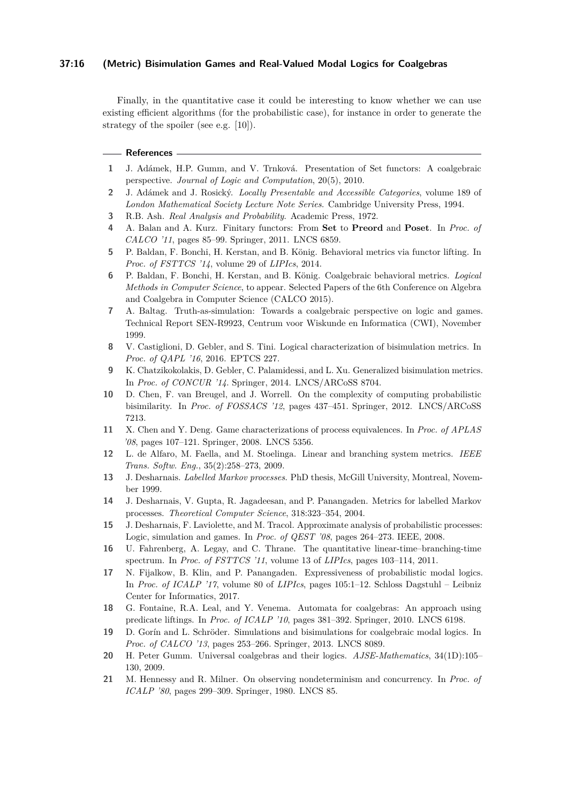## **37:16 (Metric) Bisimulation Games and Real-Valued Modal Logics for Coalgebras**

Finally, in the quantitative case it could be interesting to know whether we can use existing efficient algorithms (for the probabilistic case), for instance in order to generate the strategy of the spoiler (see e.g. [\[10\]](#page-15-20)).

#### **References**

- <span id="page-15-16"></span>**1** J. Adámek, H.P. Gumm, and V. Trnková. Presentation of Set functors: A coalgebraic perspective. *Journal of Logic and Computation*, 20(5), 2010.
- <span id="page-15-17"></span>**2** J. Adámek and J. Rosický. *Locally Presentable and Accessible Categories*, volume 189 of *London Mathematical Society Lecture Note Series*. Cambridge University Press, 1994.
- <span id="page-15-19"></span>**3** R.B. Ash. *Real Analysis and Probability*. Academic Press, 1972.
- <span id="page-15-14"></span>**4** A. Balan and A. Kurz. Finitary functors: From **Set** to **Preord** and **Poset**. In *Proc. of CALCO '11*, pages 85–99. Springer, 2011. LNCS 6859.
- <span id="page-15-12"></span>**5** P. Baldan, F. Bonchi, H. Kerstan, and B. König. Behavioral metrics via functor lifting. In *Proc. of FSTTCS '14*, volume 29 of *LIPIcs*, 2014.
- <span id="page-15-13"></span>**6** P. Baldan, F. Bonchi, H. Kerstan, and B. König. Coalgebraic behavioral metrics. *Logical Methods in Computer Science*, to appear. Selected Papers of the 6th Conference on Algebra and Coalgebra in Computer Science (CALCO 2015).
- <span id="page-15-4"></span>**7** A. Baltag. Truth-as-simulation: Towards a coalgebraic perspective on logic and games. Technical Report SEN-R9923, Centrum voor Wiskunde en Informatica (CWI), November 1999.
- <span id="page-15-9"></span>**8** V. Castiglioni, D. Gebler, and S. Tini. Logical characterization of bisimulation metrics. In *Proc. of QAPL '16*, 2016. EPTCS 227.
- <span id="page-15-6"></span>**9** K. Chatzikokolakis, D. Gebler, C. Palamidessi, and L. Xu. Generalized bisimulation metrics. In *Proc. of CONCUR '14*. Springer, 2014. LNCS/ARCoSS 8704.
- <span id="page-15-20"></span>**10** D. Chen, F. van Breugel, and J. Worrell. On the complexity of computing probabilistic bisimilarity. In *Proc. of FOSSACS '12*, pages 437–451. Springer, 2012. LNCS/ARCoSS 7213.
- <span id="page-15-3"></span>**11** X. Chen and Y. Deng. Game characterizations of process equivalences. In *Proc. of APLAS '08*, pages 107–121. Springer, 2008. LNCS 5356.
- <span id="page-15-10"></span>**12** L. de Alfaro, M. Faella, and M. Stoelinga. Linear and branching system metrics. *IEEE Trans. Softw. Eng.*, 35(2):258–273, 2009.
- <span id="page-15-7"></span>**13** J. Desharnais. *Labelled Markov processes*. PhD thesis, McGill University, Montreal, November 1999.
- <span id="page-15-8"></span>**14** J. Desharnais, V. Gupta, R. Jagadeesan, and P. Panangaden. Metrics for labelled Markov processes. *Theoretical Computer Science*, 318:323–354, 2004.
- <span id="page-15-1"></span>**15** J. Desharnais, F. Laviolette, and M. Tracol. Approximate analysis of probabilistic processes: Logic, simulation and games. In *Proc. of QEST '08*, pages 264–273. IEEE, 2008.
- <span id="page-15-11"></span>**16** U. Fahrenberg, A. Legay, and C. Thrane. The quantitative linear-time–branching-time spectrum. In *Proc. of FSTTCS '11*, volume 13 of *LIPIcs*, pages 103–114, 2011.
- <span id="page-15-2"></span>**17** N. Fijalkow, B. Klin, and P. Panangaden. Expressiveness of probabilistic modal logics. In *Proc. of ICALP '17*, volume 80 of *LIPIcs*, pages 105:1–12. Schloss Dagstuhl – Leibniz Center for Informatics, 2017.
- <span id="page-15-5"></span>**18** G. Fontaine, R.A. Leal, and Y. Venema. Automata for coalgebras: An approach using predicate liftings. In *Proc. of ICALP '10*, pages 381–392. Springer, 2010. LNCS 6198.
- <span id="page-15-18"></span>**19** D. Gorín and L. Schröder. Simulations and bisimulations for coalgebraic modal logics. In *Proc. of CALCO '13*, pages 253–266. Springer, 2013. LNCS 8089.
- <span id="page-15-15"></span>**20** H. Peter Gumm. Universal coalgebras and their logics. *AJSE-Mathematics*, 34(1D):105– 130, 2009.
- <span id="page-15-0"></span>**21** M. Hennessy and R. Milner. On observing nondeterminism and concurrency. In *Proc. of ICALP '80*, pages 299–309. Springer, 1980. LNCS 85.